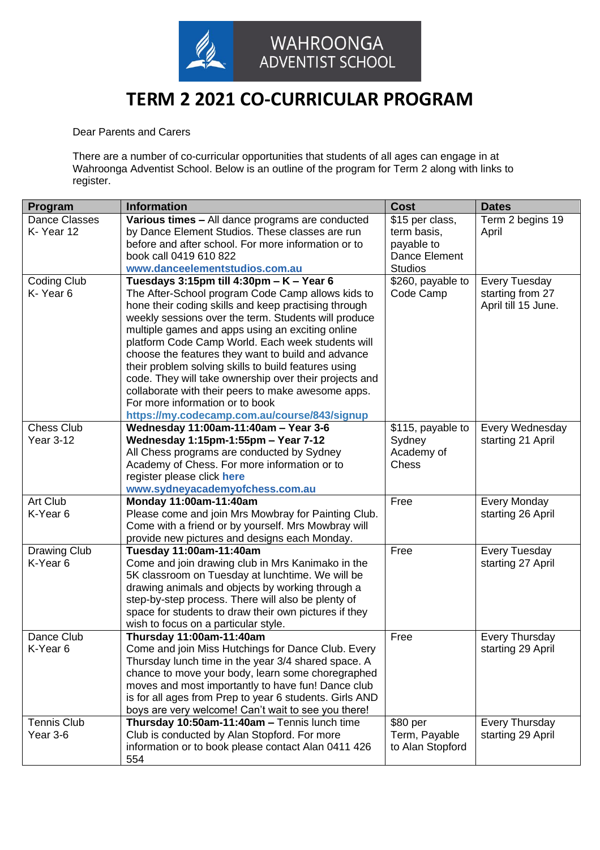

## **TERM 2 2021 CO-CURRICULAR PROGRAM**

Dear Parents and Carers

There are a number of co-curricular opportunities that students of all ages can engage in at Wahroonga Adventist School. Below is an outline of the program for Term 2 along with links to register.

| Program              | <b>Information</b>                                                                                      | <b>Cost</b>       | <b>Dates</b>          |
|----------------------|---------------------------------------------------------------------------------------------------------|-------------------|-----------------------|
| <b>Dance Classes</b> | Various times - All dance programs are conducted                                                        | \$15 per class,   | Term 2 begins 19      |
| K-Year 12            | by Dance Element Studios. These classes are run                                                         | term basis,       | April                 |
|                      | before and after school. For more information or to                                                     | payable to        |                       |
|                      | book call 0419 610 822                                                                                  | Dance Element     |                       |
|                      | www.danceelementstudios.com.au                                                                          | <b>Studios</b>    |                       |
| Coding Club          | Tuesdays 3:15pm till 4:30pm - K - Year 6                                                                | \$260, payable to | Every Tuesday         |
| K-Year <sub>6</sub>  | The After-School program Code Camp allows kids to                                                       | Code Camp         | starting from 27      |
|                      | hone their coding skills and keep practising through                                                    |                   | April till 15 June.   |
|                      | weekly sessions over the term. Students will produce                                                    |                   |                       |
|                      | multiple games and apps using an exciting online                                                        |                   |                       |
|                      | platform Code Camp World. Each week students will                                                       |                   |                       |
|                      | choose the features they want to build and advance                                                      |                   |                       |
|                      | their problem solving skills to build features using                                                    |                   |                       |
|                      | code. They will take ownership over their projects and                                                  |                   |                       |
|                      | collaborate with their peers to make awesome apps.                                                      |                   |                       |
|                      | For more information or to book                                                                         |                   |                       |
|                      | https://my.codecamp.com.au/course/843/signup                                                            |                   |                       |
| <b>Chess Club</b>    | Wednesday 11:00am-11:40am - Year 3-6                                                                    | \$115, payable to | Every Wednesday       |
| <b>Year 3-12</b>     | Wednesday 1:15pm-1:55pm - Year 7-12                                                                     | Sydney            | starting 21 April     |
|                      | All Chess programs are conducted by Sydney                                                              | Academy of        |                       |
|                      | Academy of Chess. For more information or to                                                            | <b>Chess</b>      |                       |
|                      | register please click here                                                                              |                   |                       |
|                      | www.sydneyacademyofchess.com.au                                                                         |                   |                       |
| Art Club             | Monday 11:00am-11:40am                                                                                  | Free              | Every Monday          |
| K-Year 6             | Please come and join Mrs Mowbray for Painting Club.                                                     |                   | starting 26 April     |
|                      | Come with a friend or by yourself. Mrs Mowbray will                                                     |                   |                       |
|                      | provide new pictures and designs each Monday.                                                           |                   |                       |
| <b>Drawing Club</b>  | Tuesday 11:00am-11:40am                                                                                 | Free              | <b>Every Tuesday</b>  |
| K-Year <sub>6</sub>  | Come and join drawing club in Mrs Kanimako in the                                                       |                   | starting 27 April     |
|                      | 5K classroom on Tuesday at lunchtime. We will be                                                        |                   |                       |
|                      | drawing animals and objects by working through a                                                        |                   |                       |
|                      | step-by-step process. There will also be plenty of                                                      |                   |                       |
|                      | space for students to draw their own pictures if they                                                   |                   |                       |
| Dance Club           | wish to focus on a particular style.<br>Thursday 11:00am-11:40am                                        | Free              |                       |
|                      | Come and join Miss Hutchings for Dance Club. Every                                                      |                   | <b>Every Thursday</b> |
| K-Year 6             |                                                                                                         |                   | starting 29 April     |
|                      | Thursday lunch time in the year 3/4 shared space. A                                                     |                   |                       |
|                      | chance to move your body, learn some choregraphed<br>moves and most importantly to have fun! Dance club |                   |                       |
|                      | is for all ages from Prep to year 6 students. Girls AND                                                 |                   |                       |
|                      | boys are very welcome! Can't wait to see you there!                                                     |                   |                       |
| <b>Tennis Club</b>   | Thursday 10:50am-11:40am - Tennis lunch time                                                            | \$80 per          | <b>Every Thursday</b> |
| Year 3-6             | Club is conducted by Alan Stopford. For more                                                            | Term, Payable     | starting 29 April     |
|                      | information or to book please contact Alan 0411 426                                                     | to Alan Stopford  |                       |
|                      | 554                                                                                                     |                   |                       |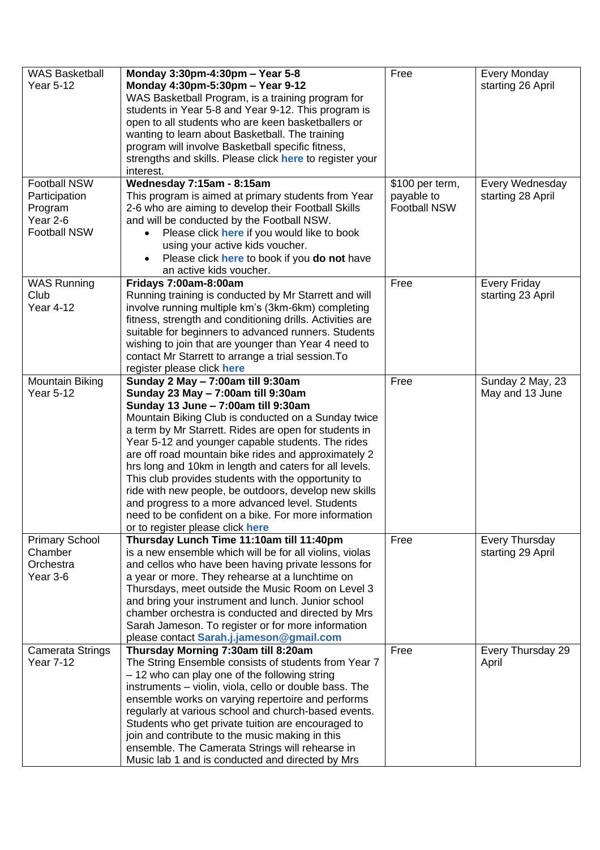| <b>WAS Basketball</b><br>Year 5-12                                          | Monday 3:30pm-4:30pm - Year 5-8<br>Monday 4:30pm-5:30pm - Year 9-12<br>WAS Basketball Program, is a training program for<br>students in Year 5-8 and Year 9-12. This program is<br>open to all students who are keen basketballers or<br>wanting to learn about Basketball. The training<br>program will involve Basketball specific fitness,<br>strengths and skills. Please click here to register your<br>interest.                                                                                                                                                                                                                                               | Free                                                 | Every Monday<br>starting 26 April          |
|-----------------------------------------------------------------------------|----------------------------------------------------------------------------------------------------------------------------------------------------------------------------------------------------------------------------------------------------------------------------------------------------------------------------------------------------------------------------------------------------------------------------------------------------------------------------------------------------------------------------------------------------------------------------------------------------------------------------------------------------------------------|------------------------------------------------------|--------------------------------------------|
| Football NSW<br>Participation<br>Program<br>Year 2-6<br><b>Football NSW</b> | Wednesday 7:15am - 8:15am<br>This program is aimed at primary students from Year<br>2-6 who are aiming to develop their Football Skills<br>and will be conducted by the Football NSW.<br>Please click here if you would like to book<br>$\bullet$<br>using your active kids voucher.<br>Please click here to book if you do not have<br>an active kids voucher.                                                                                                                                                                                                                                                                                                      | \$100 per term,<br>payable to<br><b>Football NSW</b> | Every Wednesday<br>starting 28 April       |
| <b>WAS Running</b><br>Club<br><b>Year 4-12</b>                              | Fridays 7:00am-8:00am<br>Running training is conducted by Mr Starrett and will<br>involve running multiple km's (3km-6km) completing<br>fitness, strength and conditioning drills. Activities are<br>suitable for beginners to advanced runners. Students<br>wishing to join that are younger than Year 4 need to<br>contact Mr Starrett to arrange a trial session. To<br>register please click here                                                                                                                                                                                                                                                                | Free                                                 | Every Friday<br>starting 23 April          |
| Mountain Biking<br><b>Year 5-12</b>                                         | Sunday 2 May - 7:00am till 9:30am<br>Sunday 23 May - 7:00am till 9:30am<br>Sunday 13 June - 7:00am till 9:30am<br>Mountain Biking Club is conducted on a Sunday twice<br>a term by Mr Starrett. Rides are open for students in<br>Year 5-12 and younger capable students. The rides<br>are off road mountain bike rides and approximately 2<br>hrs long and 10km in length and caters for all levels.<br>This club provides students with the opportunity to<br>ride with new people, be outdoors, develop new skills<br>and progress to a more advanced level. Students<br>need to be confident on a bike. For more information<br>or to register please click here | Free                                                 | Sunday 2 May, 23<br>May and 13 June        |
| <b>Primary School</b><br>Chamber<br>Orchestra<br>Year 3-6                   | Thursday Lunch Time 11:10am till 11:40pm<br>is a new ensemble which will be for all violins, violas<br>and cellos who have been having private lessons for<br>a year or more. They rehearse at a lunchtime on<br>Thursdays, meet outside the Music Room on Level 3<br>and bring your instrument and lunch. Junior school<br>chamber orchestra is conducted and directed by Mrs<br>Sarah Jameson. To register or for more information<br>please contact Sarah.j.jameson@gmail.com                                                                                                                                                                                     | Free                                                 | <b>Every Thursday</b><br>starting 29 April |
| <b>Camerata Strings</b><br><b>Year 7-12</b>                                 | Thursday Morning 7:30am till 8:20am<br>The String Ensemble consists of students from Year 7<br>- 12 who can play one of the following string<br>instruments - violin, viola, cello or double bass. The<br>ensemble works on varying repertoire and performs<br>regularly at various school and church-based events.<br>Students who get private tuition are encouraged to<br>join and contribute to the music making in this<br>ensemble. The Camerata Strings will rehearse in<br>Music lab 1 and is conducted and directed by Mrs                                                                                                                                  | Free                                                 | Every Thursday 29<br>April                 |